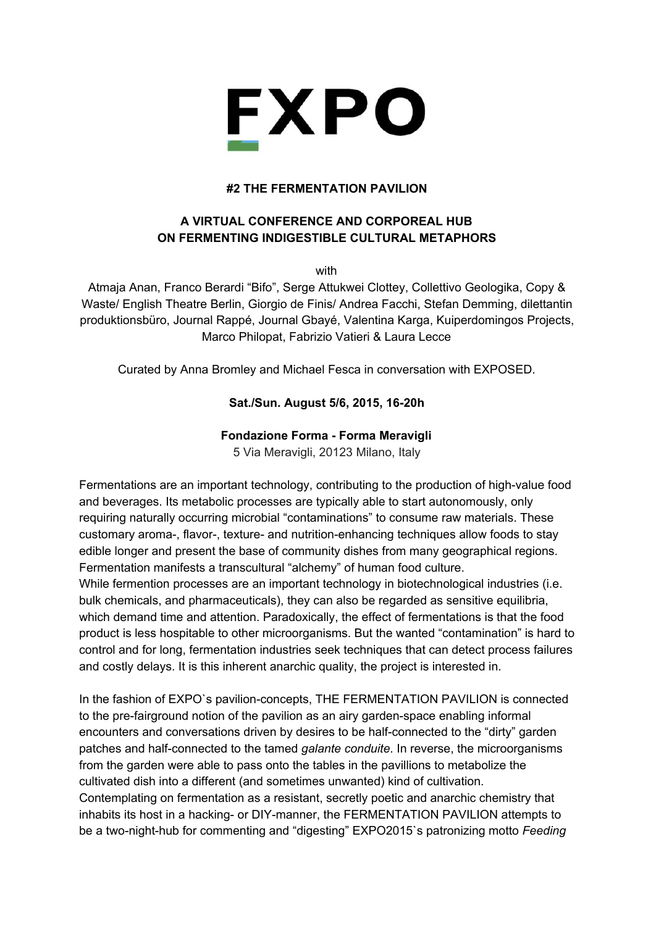

## **#2 THE FERMENTATION PAVILION**

## **A VIRTUAL CONFERENCE AND CORPOREAL HUB ON FERMENTING INDIGESTIBLE CULTURAL METAPHORS**

with

Atmaja Anan, Franco Berardi "Bifo", Serge Attukwei Clottey, Collettivo Geologika, Copy & Waste/ English Theatre Berlin, Giorgio de Finis/ Andrea Facchi, Stefan Demming, dilettantin produktionsbüro, Journal Rappé, Journal Gbayé, Valentina Karga, Kuiperdomingos Projects, Marco Philopat, Fabrizio Vatieri & Laura Lecce

Curated by Anna Bromley and Michael Fesca in conversation with EXPOSED.

## **Sat./Sun. August 5/6, 2015, 1620h**

#### **Fondazione Forma Forma Meravigli**

5 Via Meravigli, 20123 Milano, Italy

Fermentations are an important technology, contributing to the production of high-value food and beverages. Its metabolic processes are typically able to start autonomously, only requiring naturally occurring microbial "contaminations" to consume raw materials. These customary aroma-, flavor-, texture- and nutrition-enhancing techniques allow foods to stay edible longer and present the base of community dishes from many geographical regions. Fermentation manifests a transcultural "alchemy" of human food culture. While fermention processes are an important technology in biotechnological industries (i.e. bulk chemicals, and pharmaceuticals), they can also be regarded as sensitive equilibria, which demand time and attention. Paradoxically, the effect of fermentations is that the food product is less hospitable to other microorganisms. But the wanted "contamination" is hard to control and for long, fermentation industries seek techniques that can detect process failures and costly delays. It is this inherent anarchic quality, the project is interested in.

In the fashion of EXPO's pavilion-concepts, THE FERMENTATION PAVILION is connected to the pre-fairground notion of the pavilion as an airy garden-space enabling informal encounters and conversations driven by desires to be half-connected to the "dirty" garden patches and half-connected to the tamed *galante conduite*. In reverse, the microorganisms from the garden were able to pass onto the tables in the pavillions to metabolize the cultivated dish into a different (and sometimes unwanted) kind of cultivation. Contemplating on fermentation as a resistant, secretly poetic and anarchic chemistry that inhabits its host in a hacking- or DIY-manner, the FERMENTATION PAVILION attempts to be a two-night-hub for commenting and "digesting" EXPO2015`s patronizing motto *Feeding*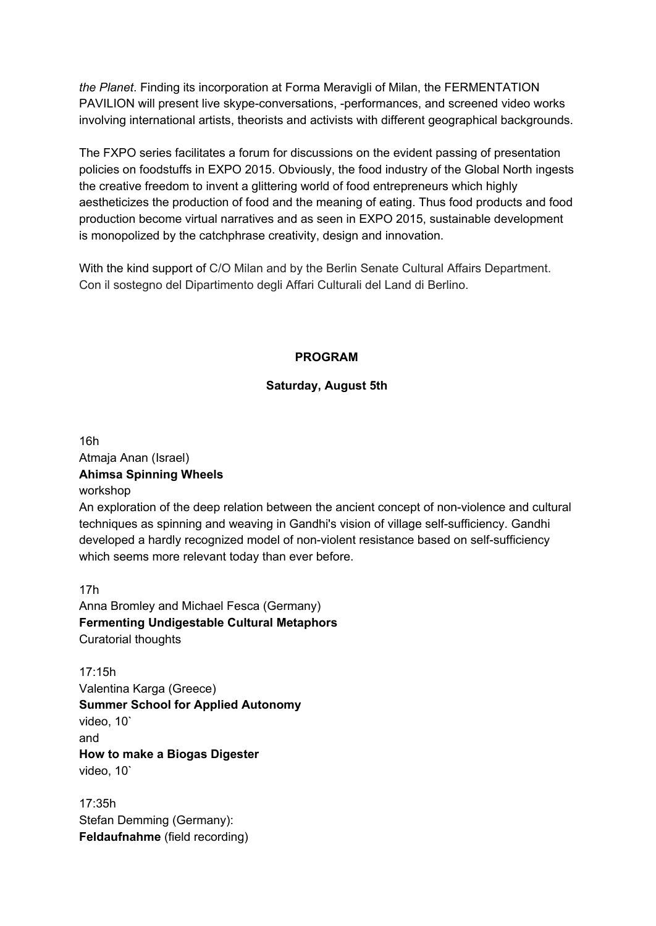*the Planet*. Finding its incorporation at Forma Meravigli of Milan, the FERMENTATION PAVILION will present live skype-conversations, -performances, and screened video works involving international artists, theorists and activists with different geographical backgrounds.

The FXPO series facilitates a forum for discussions on the evident passing of presentation policies on foodstuffs in EXPO 2015. Obviously, the food industry of the Global North ingests the creative freedom to invent a glittering world of food entrepreneurs which highly aestheticizes the production of food and the meaning of eating. Thus food products and food production become virtual narratives and as seen in EXPO 2015, sustainable development is monopolized by the catchphrase creativity, design and innovation.

With the kind support of C/O Milan and by the Berlin Senate Cultural Affairs Department. Con il sostegno del Dipartimento degli Affari Culturali del Land di Berlino.

#### **PROGRAM**

#### **Saturday, August 5th**

16h

Atmaja Anan (Israel) **Ahimsa Spinning Wheels** workshop

An exploration of the deep relation between the ancient concept of non-violence and cultural techniques as spinning and weaving in Gandhi's vision of village self-sufficiency. Gandhi developed a hardly recognized model of non-violent resistance based on self-sufficiency which seems more relevant today than ever before.

17h Anna Bromley and Michael Fesca (Germany) **Fermenting Undigestable Cultural Metaphors** Curatorial thoughts

17:15h Valentina Karga (Greece) **Summer School for Applied Autonomy** video, 10` and **How to make a Biogas Digester** video, 10`

17:35h Stefan Demming (Germany): **Feldaufnahme**(field recording)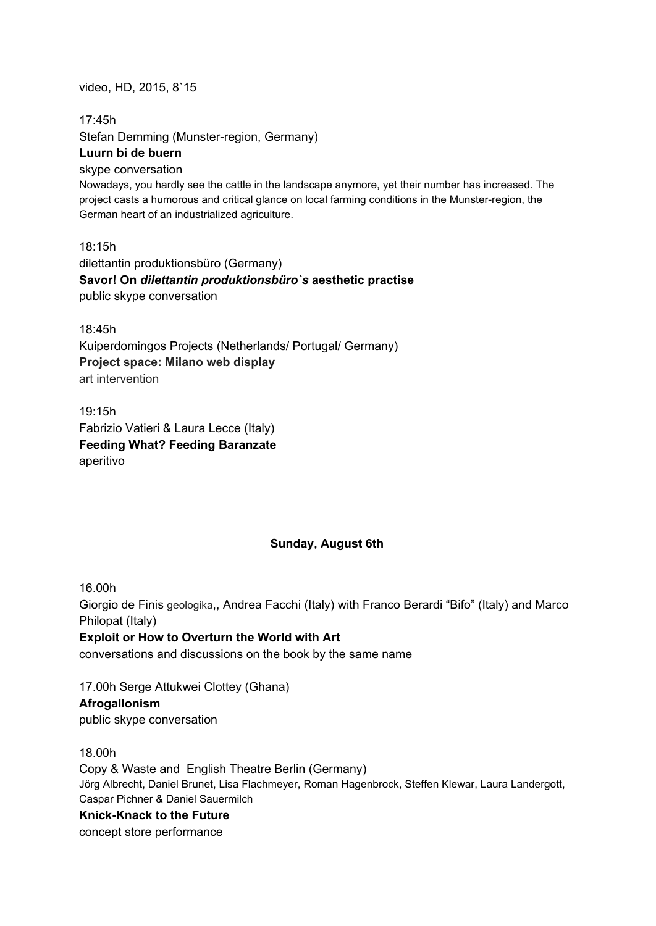video, HD, 2015, 8`15

17:45h Stefan Demming (Munster-region, Germany) **Luurn bi de buern** skype conversation

Nowadays, you hardly see the cattle in the landscape anymore, yet their number has increased. The project casts a humorous and critical glance on local farming conditions in the Munster-region, the German heart of an industrialized agriculture.

18:15h dilettantin produktionsbüro (Germany) **Savor! On** *dilettantin produktionsbüro`s***aesthetic practise** public skype conversation

18:45h Kuiperdomingos Projects (Netherlands/ Portugal/ Germany) **Project space: Milano web display** art intervention

19:15h Fabrizio Vatieri & Laura Lecce (Italy) **Feeding What? Feeding Baranzate** aperitivo

# **Sunday, August 6th**

16.00h

Giorgio de Finis geologika,, Andrea Facchi (Italy) with Franco Berardi "Bifo" (Italy) and Marco Philopat (Italy)

**Exploit or How to Overturn the World with Art** conversations and discussions on the book by the same name

17.00h Serge Attukwei Clottey (Ghana) **Afrogallonism** public skype conversation

18.00h

Copy & Waste and English Theatre Berlin (Germany) Jörg Albrecht, Daniel Brunet, Lisa Flachmeyer, Roman Hagenbrock, Steffen Klewar, Laura Landergott, Caspar Pichner & Daniel Sauermilch

**Knick-Knack to the Future** 

concept store performance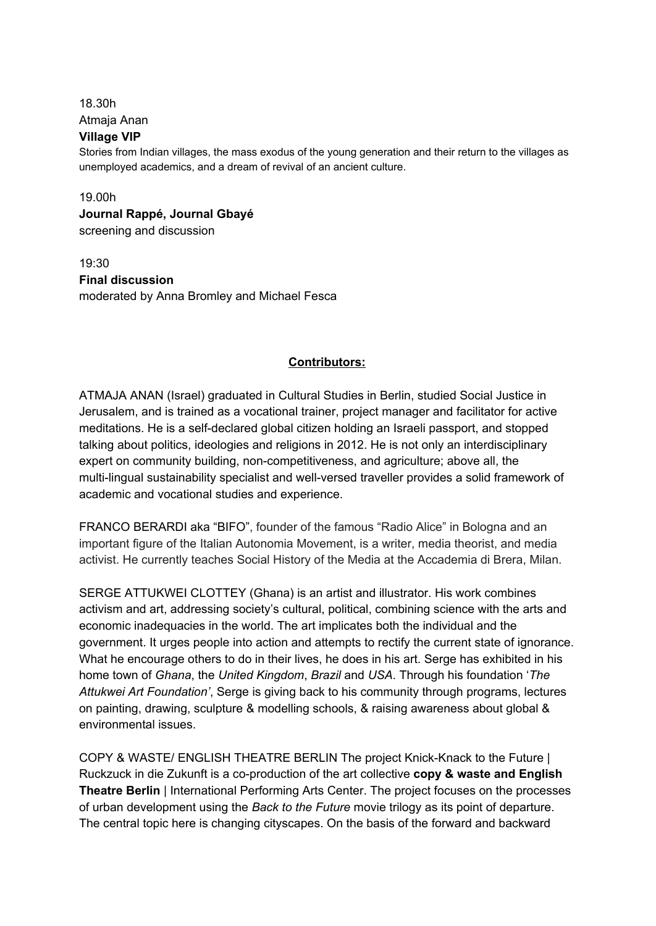18.30h Atmaja Anan **Village VIP**

Stories from Indian villages, the mass exodus of the young generation and their return to the villages as unemployed academics, and a dream of revival of an ancient culture.

19.00h **Journal Rappé, Journal Gbayé** screening and discussion

19:30 **Final discussion** moderated by Anna Bromley and Michael Fesca

#### **Contributors:**

ATMAJA ANAN (Israel) graduated in Cultural Studies in Berlin, studied Social Justice in Jerusalem, and is trained as a vocational trainer, project manager and facilitator for active meditations. He is a self-declared global citizen holding an Israeli passport, and stopped talking about politics, ideologies and religions in 2012. He is not only an interdisciplinary expert on community building, non-competitiveness, and agriculture; above all, the multi-lingual sustainability specialist and well-versed traveller provides a solid framework of academic and vocational studies and experience.

FRANCO BERARDI aka "BIFO", founder of the famous "Radio Alice" in Bologna and an important figure of the Italian Autonomia Movement, is a writer, media theorist, and media activist. He currently teaches Social History of the Media at the Accademia di Brera, Milan.

SERGE ATTUKWEI CLOTTEY (Ghana) is an artist and illustrator. His work combines activism and art, addressing society's cultural, political, combining science with the arts and economic inadequacies in the world. The art implicates both the individual and the government. It urges people into action and attempts to rectify the current state of ignorance. What he encourage others to do in their lives, he does in his art. Serge has exhibited in his home town of *Ghana*, the *United Kingdom*, *Brazil* and *USA*. Through his foundation '*The Attukwei Art Foundation'*, Serge is giving back to his community through programs, lectures on painting, drawing, sculpture & modelling schools, & raising awareness about global & environmental issues.

COPY & WASTE/ ENGLISH THEATRE BERLIN The project Knick-Knack to the Future | Ruckzuck in die Zukunft is a coproduction of the art collective **copy & waste and English Theatre Berlin** | International Performing Arts Center. The project focuses on the processes of urban development using the *Back to the Future* movie trilogy as its point of departure. The central topic here is changing cityscapes. On the basis of the forward and backward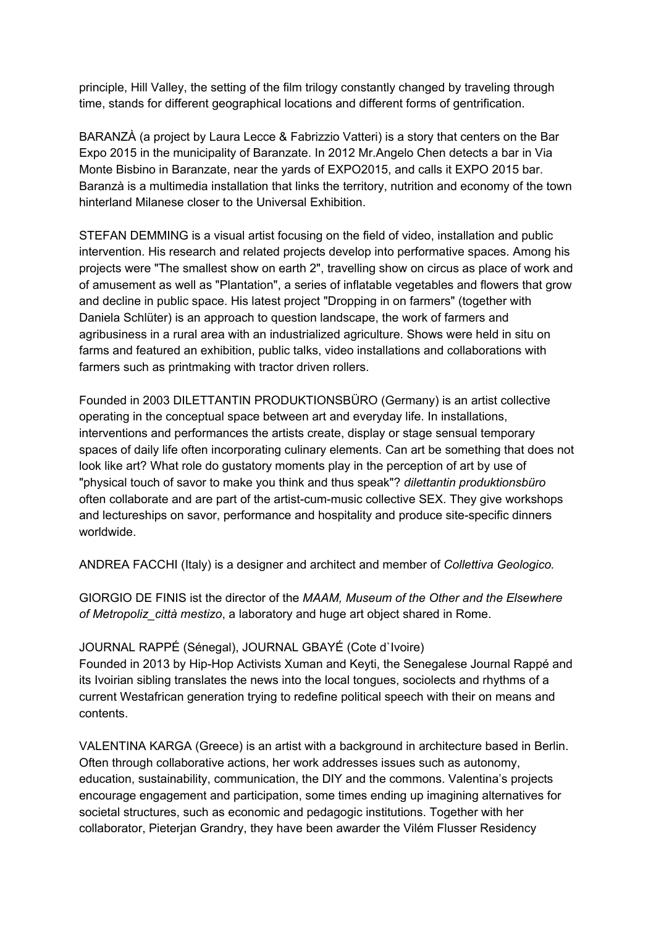principle, Hill Valley, the setting of the film trilogy constantly changed by traveling through time, stands for different geographical locations and different forms of gentrification.

BARANZÀ (a project by Laura Lecce & Fabrizzio Vatteri) is a story that centers on the Bar Expo 2015 in the municipality of Baranzate. In 2012 Mr.Angelo Chen detects a bar in Via Monte Bisbino in Baranzate, near the yards of EXPO2015, and calls it EXPO 2015 bar. Baranzà is a multimedia installation that links the territory, nutrition and economy of the town hinterland Milanese closer to the Universal Exhibition.

STEFAN DEMMING is a visual artist focusing on the field of video, installation and public intervention. His research and related projects develop into performative spaces. Among his projects were "The smallest show on earth 2", travelling show on circus as place of work and of amusement as well as "Plantation", a series of inflatable vegetables and flowers that grow and decline in public space. His latest project "Dropping in on farmers" (together with Daniela Schlüter) is an approach to question landscape, the work of farmers and agribusiness in a rural area with an industrialized agriculture. Shows were held in situ on farms and featured an exhibition, public talks, video installations and collaborations with farmers such as printmaking with tractor driven rollers.

Founded in 2003 DILETTANTIN PRODUKTIONSBÜRO (Germany) is an artist collective operating in the conceptual space between art and everyday life. In installations, interventions and performances the artists create, display or stage sensual temporary spaces of daily life often incorporating culinary elements. Can art be something that does not look like art? What role do gustatory moments play in the perception of art by use of "physical touch of savor to make you think and thus speak"? *dilettantin produktionsbüro* often collaborate and are part of the artist-cum-music collective SEX. They give workshops and lectureships on savor, performance and hospitality and produce site-specific dinners worldwide.

ANDREA FACCHI (Italy) is a designer and architect and member of *Collettiva Geologico.*

GIORGIO DE FINIS ist the director of the *MAAM, Museum of the Other and the Elsewhere of Metropoliz\_città mestizo*, a laboratory and huge art object shared in Rome.

### JOURNAL RAPPÉ (Sénegal), JOURNAL GBAYÉ (Cote d`Ivoire)

Founded in 2013 by HipHop Activists Xuman and Keyti, the Senegalese Journal Rappé and its Ivoirian sibling translates the news into the local tongues, sociolects and rhythms of a current Westafrican generation trying to redefine political speech with their on means and contents.

VALENTINA KARGA (Greece) is an artist with a background in architecture based in Berlin. Often through collaborative actions, her work addresses issues such as autonomy, education, sustainability, communication, the DIY and the commons. Valentina's projects encourage engagement and participation, some times ending up imagining alternatives for societal structures, such as economic and pedagogic institutions. Together with her collaborator, Pieterjan Grandry, they have been awarder the Vilém Flusser Residency